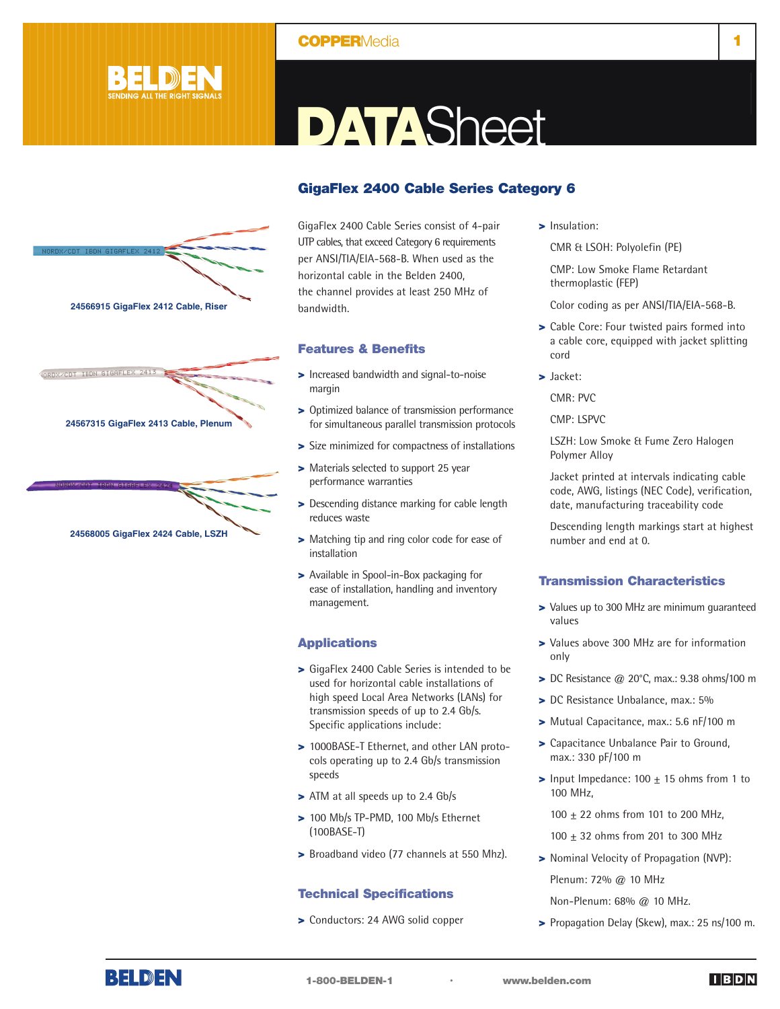## **COPPER**Media **1**



**24567315 GigaFlex 2413 Cable, Plenum**

ORDX/CDT IBDN GIGAFLEX

**24566915 GigaFlex 2412 Cable, Riser**

**24568005 GigaFlex 2424 Cable, LSZH**

# **DATA**Sheet

## **GigaFlex 2400 Cable Series Category 6**

GigaFlex 2400 Cable Series consist of 4-pair UTP cables, that exceed Category 6 requirements per ANSI/TIA/EIA-568-B. When used as the horizontal cable in the Belden 2400, the channel provides at least 250 MHz of bandwidth.

### **Features & Benefits**

- **>** Increased bandwidth and signal-to-noise margin
- **>** Optimized balance of transmission performance for simultaneous parallel transmission protocols
- **>** Size minimized for compactness of installations
- **>** Materials selected to support 25 year performance warranties
- **>** Descending distance marking for cable length reduces waste
- **>** Matching tip and ring color code for ease of installation
- **>** Available in Spool-in-Box packaging for ease of installation, handling and inventory management.

## **Applications**

- **>** GigaFlex 2400 Cable Series is intended to be used for horizontal cable installations of high speed Local Area Networks (LANs) for transmission speeds of up to 2.4 Gb/s. Specific applications include:
- **>** 1000BASE-T Ethernet, and other LAN protocols operating up to 2.4 Gb/s transmission speeds
- **>** ATM at all speeds up to 2.4 Gb/s
- **>** 100 Mb/s TP-PMD, 100 Mb/s Ethernet (100BASE-T)
- **>** Broadband video (77 channels at 550 Mhz).

## **Technical Specifications**

**>** Conductors: 24 AWG solid copper

**>** Insulation:

CMR & LSOH: Polyolefin (PE)

CMP: Low Smoke Flame Retardant thermoplastic (FEP)

Color coding as per ANSI/TIA/EIA-568-B.

- **>** Cable Core: Four twisted pairs formed into a cable core, equipped with jacket splitting cord
- **>** Jacket:
	- CMR: PVC

CMP: LSPVC

LSZH: Low Smoke & Fume Zero Halogen Polymer Alloy

Jacket printed at intervals indicating cable code, AWG, listings (NEC Code), verification, date, manufacturing traceability code

Descending length markings start at highest number and end at 0.

#### **Transmission Characteristics**

- **>** Values up to 300 MHz are minimum guaranteed values
- **>** Values above 300 MHz are for information only
- **>** DC Resistance @ 20°C, max.: 9.38 ohms/100 m
- **>** DC Resistance Unbalance, max.: 5%
- **>** Mutual Capacitance, max.: 5.6 nF/100 m
- **>** Capacitance Unbalance Pair to Ground, max.: 330 pF/100 m
- **>** Input Impedance: 100 ± 15 ohms from 1 to 100 MHz,
	- 100 ± 22 ohms from 101 to 200 MHz,

100 ± 32 ohms from 201 to 300 MHz

- **>** Nominal Velocity of Propagation (NVP): Plenum: 72% @ 10 MHz
	- Non-Plenum: 68% @ 10 MHz.
- **>** Propagation Delay (Skew), max.: 25 ns/100 m.

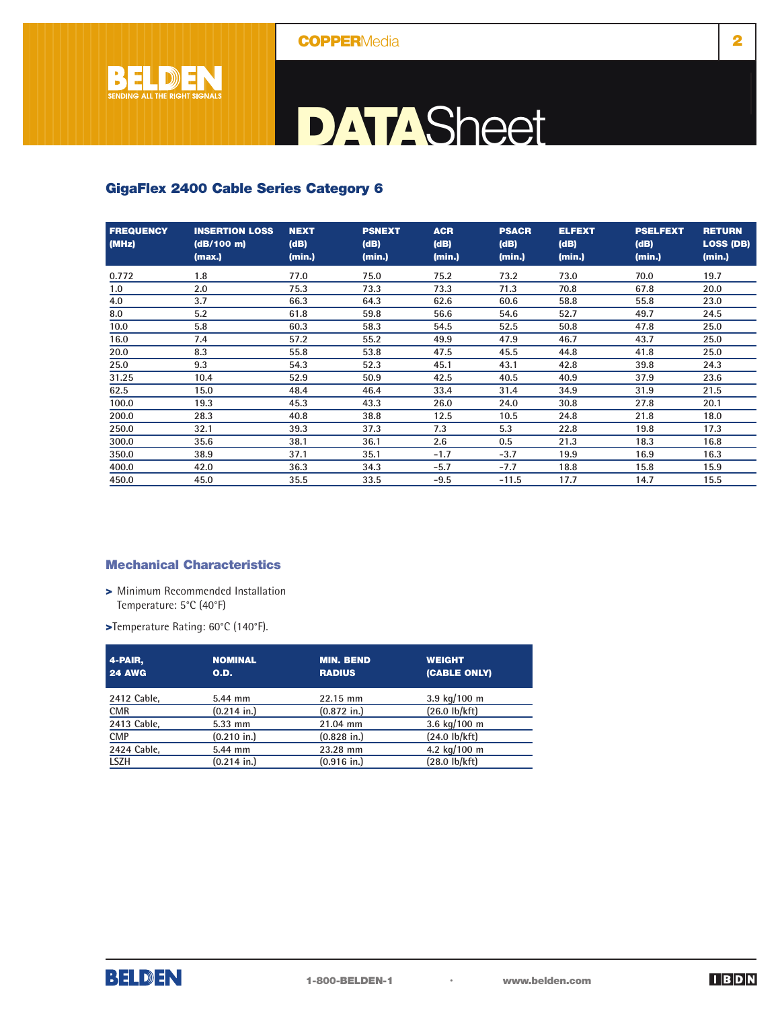

## **DATA**Sheet

## **GigaFlex 2400 Cable Series Category 6**

| <b>FREQUENCY</b><br>(MHz) | <b>INSERTION LOSS</b><br>(dB/100 m)<br>(max.) | <b>NEXT</b><br>(dB)<br>(min.) | <b>PSNEXT</b><br>(dB)<br>(min.) | <b>ACR</b><br>(dB)<br>(min.) | <b>PSACR</b><br>(dB)<br>(min.) | <b>ELFEXT</b><br>(dB)<br>(min.) | <b>PSELFEXT</b><br>(dB)<br>(min.) | <b>RETURN</b><br><b>LOSS (DB)</b><br>(min.) |
|---------------------------|-----------------------------------------------|-------------------------------|---------------------------------|------------------------------|--------------------------------|---------------------------------|-----------------------------------|---------------------------------------------|
| 0.772                     | 1.8                                           | 77.0                          | 75.0                            | 75.2                         | 73.2                           | 73.0                            | 70.0                              | 19.7                                        |
| 1.0                       | 2.0                                           | 75.3                          | 73.3                            | 73.3                         | 71.3                           | 70.8                            | 67.8                              | 20.0                                        |
| 4.0                       | 3.7                                           | 66.3                          | 64.3                            | 62.6                         | 60.6                           | 58.8                            | 55.8                              | 23.0                                        |
| 8.0                       | 5.2                                           | 61.8                          | 59.8                            | 56.6                         | 54.6                           | 52.7                            | 49.7                              | 24.5                                        |
| 10.0                      | 5.8                                           | 60.3                          | 58.3                            | 54.5                         | 52.5                           | 50.8                            | 47.8                              | 25.0                                        |
| 16.0                      | 7.4                                           | 57.2                          | 55.2                            | 49.9                         | 47.9                           | 46.7                            | 43.7                              | 25.0                                        |
| 20.0                      | 8.3                                           | 55.8                          | 53.8                            | 47.5                         | 45.5                           | 44.8                            | 41.8                              | 25.0                                        |
| 25.0                      | 9.3                                           | 54.3                          | 52.3                            | 45.1                         | 43.1                           | 42.8                            | 39.8                              | 24.3                                        |
| 31.25                     | 10.4                                          | 52.9                          | 50.9                            | 42.5                         | 40.5                           | 40.9                            | 37.9                              | 23.6                                        |
| 62.5                      | 15.0                                          | 48.4                          | 46.4                            | 33.4                         | 31.4                           | 34.9                            | 31.9                              | 21.5                                        |
| 100.0                     | 19.3                                          | 45.3                          | 43.3                            | 26.0                         | 24.0                           | 30.8                            | 27.8                              | 20.1                                        |
| 200.0                     | 28.3                                          | 40.8                          | 38.8                            | 12.5                         | 10.5                           | 24.8                            | 21.8                              | 18.0                                        |
| 250.0                     | 32.1                                          | 39.3                          | 37.3                            | 7.3                          | 5.3                            | 22.8                            | 19.8                              | 17.3                                        |
| 300.0                     | 35.6                                          | 38.1                          | 36.1                            | 2.6                          | 0.5                            | 21.3                            | 18.3                              | 16.8                                        |
| 350.0                     | 38.9                                          | 37.1                          | 35.1                            | $-1.7$                       | $-3.7$                         | 19.9                            | 16.9                              | 16.3                                        |
| 400.0                     | 42.0                                          | 36.3                          | 34.3                            | $-5.7$                       | $-7.7$                         | 18.8                            | 15.8                              | 15.9                                        |
| 450.0                     | 45.0                                          | 35.5                          | 33.5                            | $-9.5$                       | $-11.5$                        | 17.7                            | 14.7                              | 15.5                                        |

## **Mechanical Characteristics**

- **>** Minimum Recommended Installation Temperature: 5°C (40°F)
- **>**Temperature Rating: 60°C (140°F).

| 4-PAIR,<br><b>24 AWG</b> | <b>NOMINAL</b><br>O.D. | <b>MIN. BEND</b><br><b>RADIUS</b> | <b>WEIGHT</b><br>(CABLE ONLY) |
|--------------------------|------------------------|-----------------------------------|-------------------------------|
| 2412 Cable,              | 5.44 mm                | 22.15 mm                          | 3.9 $kg/100$ m                |
| <b>CMR</b>               | $(0.214$ in.)          | $(0.872)$ in.)                    | $(26.0 \text{ lb/kft})$       |
| 2413 Cable,              | 5.33 mm                | 21.04 mm                          | 3.6 kg/100 m                  |
| <b>CMP</b>               | $(0.210)$ in.)         | $(0.828)$ in.)                    | $(24.0 \text{ lb/kft})$       |
| 2424 Cable,              | 5.44 mm                | 23.28 mm                          | 4.2 kg/100 m                  |
| <b>LSZH</b>              | $(0.214$ in.)          | $(0.916)$ in.)                    | $(28.0 \text{ lb/kft})$       |